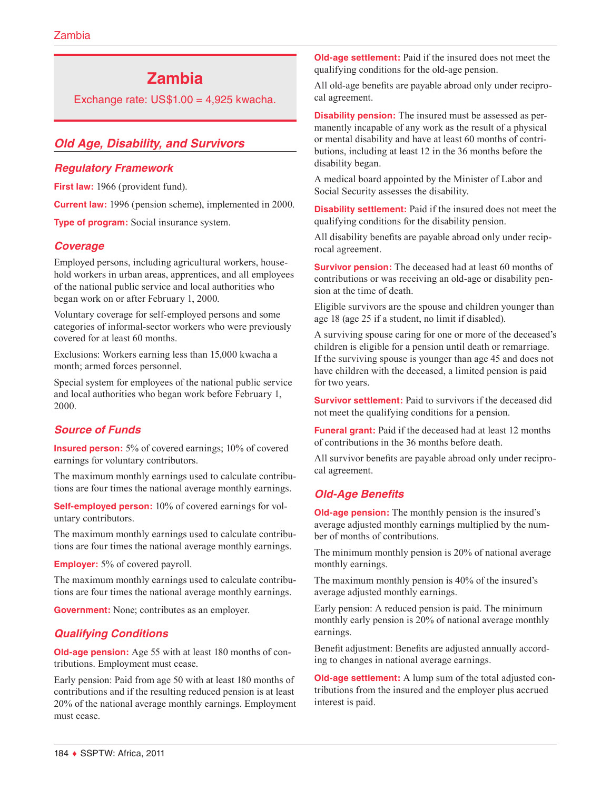# **Zambia**

Exchange rate:  $US$1.00 = 4,925$  kwacha.

# *Old Age, Disability, and Survivors*

### *Regulatory Framework*

First law: 1966 (provident fund).

**Current law:** 1996 (pension scheme), implemented in 2000.

**Type of program:** Social insurance system.

# *Coverage*

Employed persons, including agricultural workers, household workers in urban areas, apprentices, and all employees of the national public service and local authorities who began work on or after February 1, 2000.

Voluntary coverage for self-employed persons and some categories of informal-sector workers who were previously covered for at least 60 months.

Exclusions: Workers earning less than 15,000 kwacha a month; armed forces personnel.

Special system for employees of the national public service and local authorities who began work before February 1, 2000.

# *Source of Funds*

**Insured person:** 5% of covered earnings; 10% of covered earnings for voluntary contributors.

The maximum monthly earnings used to calculate contributions are four times the national average monthly earnings.

**Self-employed person:** 10% of covered earnings for voluntary contributors.

The maximum monthly earnings used to calculate contributions are four times the national average monthly earnings.

**Employer:** 5% of covered payroll.

The maximum monthly earnings used to calculate contributions are four times the national average monthly earnings.

**Government:** None; contributes as an employer.

# *Qualifying Conditions*

**Old-age pension:** Age 55 with at least 180 months of contributions. Employment must cease.

Early pension: Paid from age 50 with at least 180 months of contributions and if the resulting reduced pension is at least 20% of the national average monthly earnings. Employment must cease.

**Old-age settlement:** Paid if the insured does not meet the qualifying conditions for the old-age pension.

All old-age benefits are payable abroad only under reciprocal agreement.

**Disability pension:** The insured must be assessed as permanently incapable of any work as the result of a physical or mental disability and have at least 60 months of contributions, including at least 12 in the 36 months before the disability began.

A medical board appointed by the Minister of Labor and Social Security assesses the disability.

**Disability settlement:** Paid if the insured does not meet the qualifying conditions for the disability pension.

All disability benefits are payable abroad only under reciprocal agreement.

**Survivor pension:** The deceased had at least 60 months of contributions or was receiving an old-age or disability pension at the time of death.

Eligible survivors are the spouse and children younger than age 18 (age 25 if a student, no limit if disabled).

A surviving spouse caring for one or more of the deceased's children is eligible for a pension until death or remarriage. If the surviving spouse is younger than age 45 and does not have children with the deceased, a limited pension is paid for two years.

**Survivor settlement:** Paid to survivors if the deceased did not meet the qualifying conditions for a pension.

**Funeral grant:** Paid if the deceased had at least 12 months of contributions in the 36 months before death.

All survivor benefits are payable abroad only under reciprocal agreement.

# *Old-Age Benefits*

**Old-age pension:** The monthly pension is the insured's average adjusted monthly earnings multiplied by the number of months of contributions.

The minimum monthly pension is 20% of national average monthly earnings.

The maximum monthly pension is 40% of the insured's average adjusted monthly earnings.

Early pension: A reduced pension is paid. The minimum monthly early pension is 20% of national average monthly earnings.

Benefit adjustment: Benefits are adjusted annually according to changes in national average earnings.

**Old-age settlement:** A lump sum of the total adjusted contributions from the insured and the employer plus accrued interest is paid.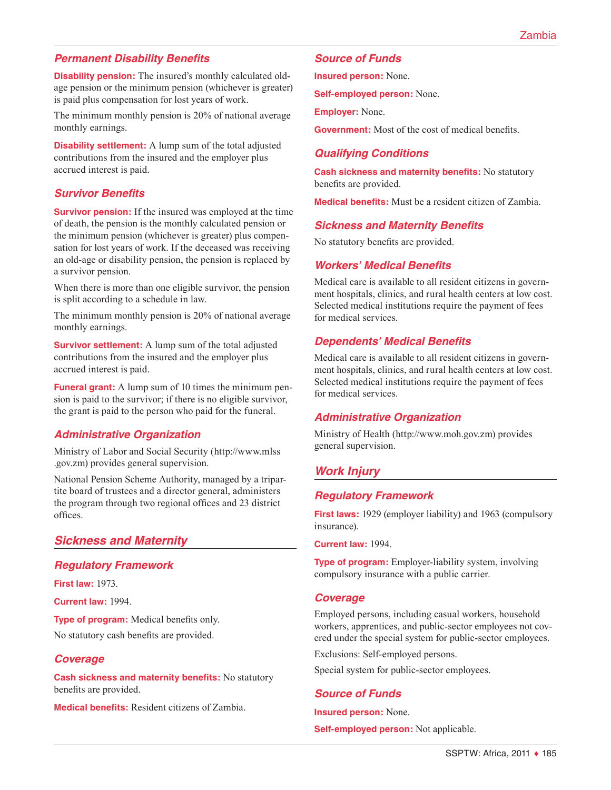# *Permanent Disability Benefits*

**Disability pension:** The insured's monthly calculated oldage pension or the minimum pension (whichever is greater) is paid plus compensation for lost years of work.

The minimum monthly pension is 20% of national average monthly earnings.

**Disability settlement:** A lump sum of the total adjusted contributions from the insured and the employer plus accrued interest is paid.

# *Survivor Benefits*

**Survivor pension:** If the insured was employed at the time of death, the pension is the monthly calculated pension or the minimum pension (whichever is greater) plus compensation for lost years of work. If the deceased was receiving an old-age or disability pension, the pension is replaced by a survivor pension.

When there is more than one eligible survivor, the pension is split according to a schedule in law.

The minimum monthly pension is 20% of national average monthly earnings.

**Survivor settlement:** A lump sum of the total adjusted contributions from the insured and the employer plus accrued interest is paid.

**Funeral grant:** A lump sum of 10 times the minimum pension is paid to the survivor; if there is no eligible survivor, the grant is paid to the person who paid for the funeral.

# *Administrative Organization*

Ministry of Labor and Social Security ([http://www.mlss](http://www.mlss.gov.zm) [.gov.zm\)](http://www.mlss.gov.zm) provides general supervision.

National Pension Scheme Authority, managed by a tripartite board of trustees and a director general, administers the program through two regional offices and 23 district offices.

# *Sickness and Maternity*

#### *Regulatory Framework*

**First law:** 1973.

**Current law:** 1994.

**Type of program:** Medical benefits only.

No statutory cash benefits are provided.

#### *Coverage*

**Cash sickness and maternity benefits:** No statutory benefits are provided.

**Medical benefits:** Resident citizens of Zambia.

#### *Source of Funds*

**Insured person:** None.

**Self-employed person:** None.

**Employer:** None.

**Government:** Most of the cost of medical benefits.

# *Qualifying Conditions*

**Cash sickness and maternity benefits:** No statutory benefits are provided.

**Medical benefits:** Must be a resident citizen of Zambia.

#### *Sickness and Maternity Benefits*

No statutory benefits are provided.

#### *Workers' Medical Benefits*

Medical care is available to all resident citizens in government hospitals, clinics, and rural health centers at low cost. Selected medical institutions require the payment of fees for medical services.

#### *Dependents' Medical Benefits*

Medical care is available to all resident citizens in government hospitals, clinics, and rural health centers at low cost. Selected medical institutions require the payment of fees for medical services.

#### *Administrative Organization*

Ministry of Health (<http://www.moh.gov.zm>) provides general supervision.

# *Work Injury*

# *Regulatory Framework*

**First laws:** 1929 (employer liability) and 1963 (compulsory insurance).

**Current law:** 1994.

**Type of program:** Employer-liability system, involving compulsory insurance with a public carrier.

#### *Coverage*

Employed persons, including casual workers, household workers, apprentices, and public-sector employees not covered under the special system for public-sector employees.

Exclusions: Self-employed persons.

Special system for public-sector employees.

#### *Source of Funds*

**Insured person:** None.

**Self-employed person:** Not applicable.